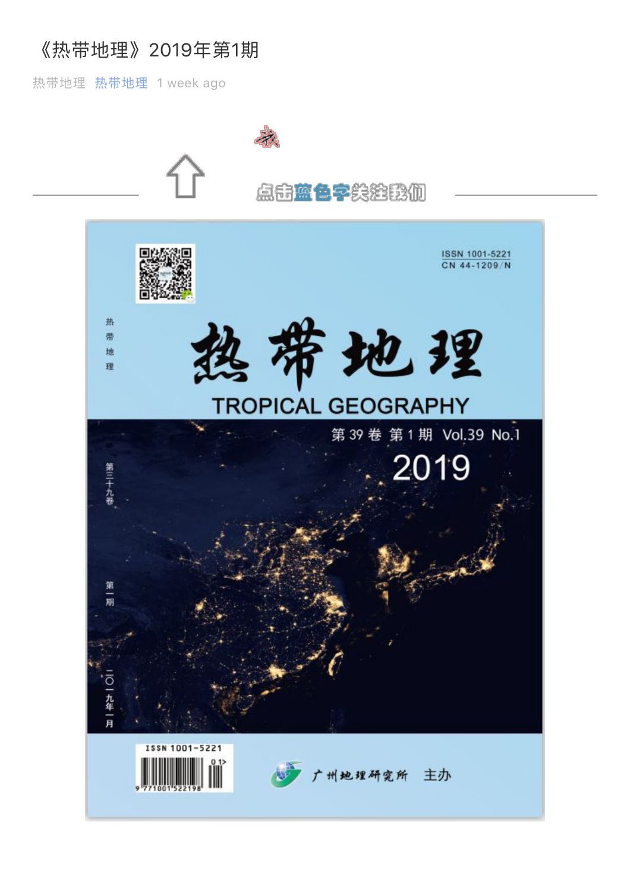# 《热带地理》2019年第1期

热带地理 热带地理 1 week ago

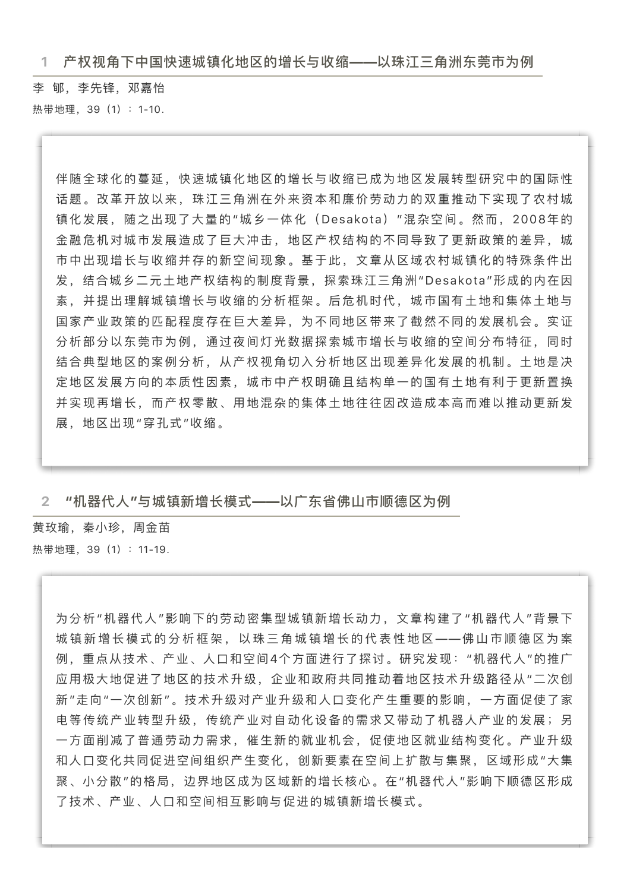1 产权视角下中国快速城镇化地区的增长与收缩——以珠江三角洲东莞市为例

李 郇, 李先锋, 邓嘉怡 热带地理, 39 (1) : 1-10.

> 伴随全球化的蔓延、快速城镇化地区的增长与收缩已成为地区发展转型研究中的国际性 话题。改革开放以来,珠江三角洲在外来资本和廉价劳动力的双重推动下实现了农村城 镇化发展, 随之出现了大量的"城乡一体化 (Desakota) "混杂空间。然而, 2008年的 余融危机对城市发展造成了巨大冲击,地区产权结构的不同导致了更新政策的差异,城 市中出现增长与收缩并存的新空间现象。基于此,文章从区域农村城镇化的特殊条件出 发,结合城乡二元土地产权结构的制度背景,探索珠江三角洲"Desakota"形成的内在因 素,并提出理解城镇增长与收缩的分析框架。后危机时代,城市国有土地和集体土地与 国家产业政策的匹配程度存在巨大差异,为不同地区带来了截然不同的发展机会。实证 分析部分以东莞市为例,通过夜间灯光数据探索城市增长与收缩的空间分布特征,同时 结合典型地区的案例分析, 从产权视角切入分析地区出现差异化发展的机制。土地是决 定地区发展方向的本质性因素, 城市中产权明确且结构单一的国有土地有利于更新置换 并实现再增长,而产权零散、用地混杂的集体土地往往因改造成本高而难以推动更新发 展. 地区出现"穿孔式"收缩。

### 2 **"**机器代人"与城镇新增长模式——以广东省佛山市顺德区为例

黄玫瑜、秦小珍、周金苗 热带地理, 39 (1) : 11-19.

> 为分析"机器代人"影响下的劳动密集型城镇新增长动力, 文章构建了"机器代人"背景下 城镇新 增 长 模 式 的 分 析 框 架 、 以 珠 三 角 城 镇 增 长 的 代 表 性 地 区 —— 佛 山 市 顺 德 区 为 案 例,重点从技术、产业、人口和空间4个方面进行了探讨。研究发现:"机器代人"的推广 应用极大地促进了地区的技术升级,企业和政府共同推动着地区技术升级路径从"二次创 新"走向"一次创新"。技术升级对产业升级和人口变化产生重要的影响,一方面促使了家 电等传统产业获,传统产业对自动化设备的需求又带动了机器人产业的发展;另 一方面削减了普通劳动力需求,催生新的就业机会,促使地区就业结构变化。产业升级 和人口变化共同促进空间组织产生变化, 创新要素在空间上扩散与集聚, 区域形成"大集 聚、小分散"的格局,边界地区成为区域新的增长核心。在"机器代人"影响下顺德区形成 了技术、产业、人口和空间相互影响与促进的城镇新增长模式。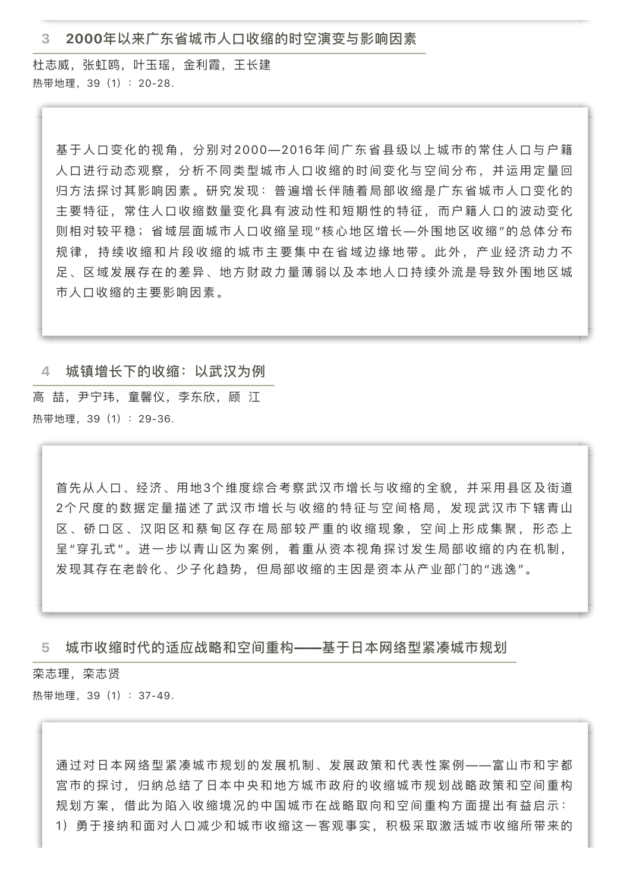3 2000年以来广东省城市人口收缩的时空演变与影响因素

杜志威、张虹鸥、叶玉瑶、金利霞、王长建 热带地理, 39 (1) : 20-28.

基于人口变化的视角, 分别对2000—2016年间广东省县级以上城市的常住人口与户籍 人口进行动态观察,分析不同类型城市人口收缩的时间变化与空间分布,并运用定量回 归方法探讨其影响因素。研究发现:普遍增长伴随着局部收缩是广东省城市人口变化的 主要特征,常住人口收缩数量变化具有波动性和短期性的特征,而户籍人口的波动变化 则相对较平稳;省域层面城市人口收缩呈现"核心地区增长—外围地区收缩"的总体分布 规律, 持续收缩和片段收缩的城市主要集中在省域边缘地带。此外, 产业经济动力不 足、区域发展存在的差异、地方财政力量薄弱以及本地人口持续外流是导致外围地区城 市人口收缩的主要影响因素。

4 城镇增长下的收缩: 以武汉为例

高 喆, 尹宁玮, 童馨仪, 李东欣, 顾 江 热带地理, 39 (1) : 29-36.

首先从人口、经济、用地3个维度综合考察武汉市增长与收缩的全貌,并采用县区及街道 2个尺度的数据定量描述了武汉市增长与收缩的特征与空间格局,发现武汉市下辖青山 区 、 硚 口 区 、 汉 阳 区 和 蔡 甸 区 存 在 局 部 较 严 重 的 收 缩 现 象 , 空 间 上 形 成 集 聚 , 形 态 上 呈"穿孔式"。进一步以青山区为案例,着重从资本视角探讨发生局部收缩的内在机制, 发现其存在老龄化、少子化趋势,但局部收缩的主因是资本从产业部门的"逃逸"。

5 城市收缩时代的适应战略和空间重构——基于日本网络型紧凑城市规划

栾志理,栾志贤 热带地理, 39 (1) : 37-49.

> 通过对日本网络型紧凑城市规划的发展机制、发展政策和代表性案例——富山市和宇都 宫市的探讨,归纳总结了日本中央和地方城市政府的收缩城市规划战略政策和空间重构 规划方案,借此为陷入收缩境况的中国城市在战略取向和空间重构方面提出有益启示: 1) 勇于接纳和面对人口减少和城市收缩这一客观事实, 积极采取激活城市收缩所带来的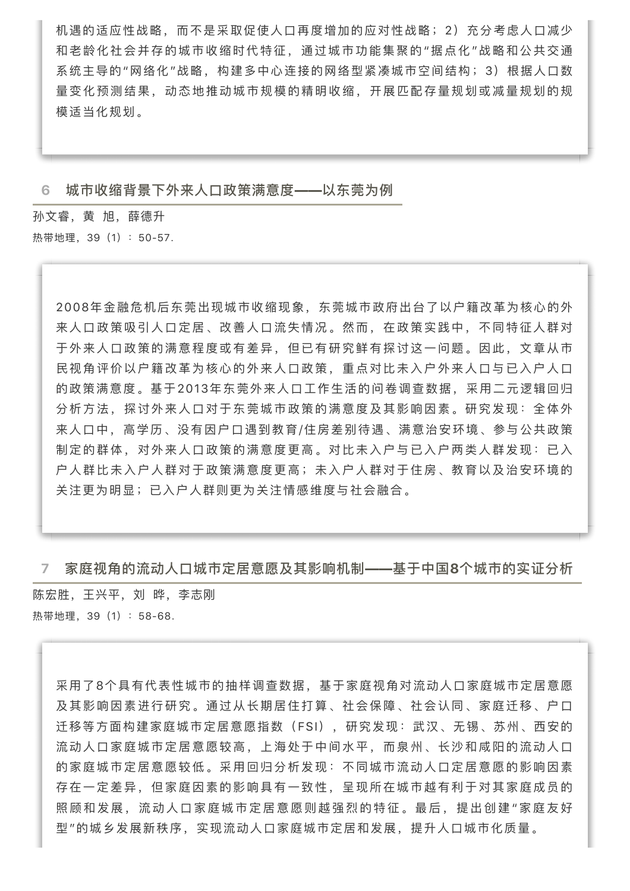机遇的适应性战略,而不是采取促使人口再度增加的应对性战略; 2) 充分考虑人口减少 和老龄化社会并存的城市收缩时代特征,通过城市功能集聚的"据点化"战略和公共交通 系统主导的"网络化"战略,构建多中心连接的网络型紧凑城市空间结构;3)根据人口数 量变化预测结果,动态地推动城市规模的精明收缩,开展匹配存量规划或减量规划的规 模话当化规划。

6 城市收缩背景下外来人口政策满意度——以东莞为例

孙文睿, 黄 旭, 薛德升 热带地理, 39 (1) : 50-57.

> 2008年金融危机后东莞出现城市收缩现象, 东莞城市政府出台了以户籍改革为核心的外 来人口政策吸引人口定居、改善人口流失情况。然而,在政策实践中,不同特征人群对 于外来人口政策的满意程度或有差异,但已有研究鲜有探讨这一问题。因此,文章从市 民视角评价以户籍改革为核心的外来人口政策,重点对比未入户外来人口与已入户人口 的政策满意度。 基于2013年东莞外来人口工作生活的问卷调查数据,采用二元逻辑回归 分析方法,探讨外来人口对于东莞城市政策的满意度及其影响因素。研究发现:全体外 来人口中,高学历、没有因户口遇到教育/住房差别待遇、满意治安环境、参与公共政策 制定的群体,对外来人口政策的满意度更高。对比未入户与已入户两类人群发现;已入 户人群比未入户核群志意度更高;未入户人群对于住房、教育以及治安环境的 关注更为明显;已入户人群则更为关注情感维度与社会融合。

7 家庭视角的流动人口城市定居意愿及其影响机制——基于中国8个城市的实证分析

陈宏胜, 王兴平, 刘 晔, 李志刚 热带地理, 39 (1) : 58-68.

> 采用了8个具有代表性城市的抽样调查数据,基于家庭视角对流动人口家庭城市定居意愿 及其影响因素进行研究。通过从长期居住打算、社会保障、社会认同、家庭迁移、户口 迁移等方面构建家庭城市定居意愿指数(FSI),研究发现:武汉、无锡、苏州、西安的 流动人口家庭城市定居意较高,上海处于中间水平,而泉州、长沙和咸阳的流动人口 的家庭城市定居意较低。采用回归分析发现:不同城市流动人口定居意愿的影响因素 存在一定差异,但家庭因素的影响具有一致性,呈现所在城市越有利于对其家庭成员的 照顾和发展,流动人口家庭城市定居意愿则越强烈的特征。最后,提出创建"家庭友好 型"的城乡发展新秩序,实现流动人口家庭城市定居和发展,提升人口城市化质量。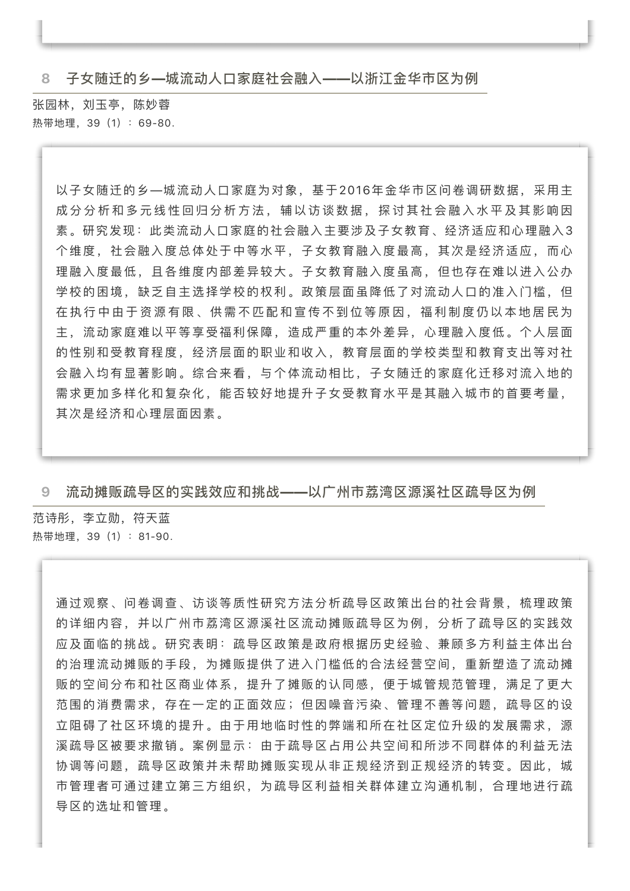8 子女随迁的乡—城流动人口家庭社会融入——以浙江金华市区为例

张园林, 刘玉亭, 陈妙蓉 热带地理, 39 (1) : 69-80.

> 以子女随迁的乡—城流动人口家庭为对象,基于2016年金华市区问卷调研数据,采用主 成分分析和多元线性回归分析方法,辅以访谈数据,探讨其社会融入水平及其影响因 素。研究发现:此类流动人口家庭的社会融入主要涉及子女教育、经济适应和心理融入3 个维度,社会融入度总体处于中等水平,子女教育融入度最高,其次是经济适应,而心 理融入度最低,且各维度内部差异较大。子女教育融入度虽高,但也存在难以进入公办 学校的困境,缺乏自主选择学校的权利。政策层面虽降低了对流动人口的准入门槛,但 在 执 行 中 由 于 资 源 有 限 、 供 需 不 匹 配 和 宣 传 不 到 位 等 原 因 , 福 利 制 度 仍 以 本 地 居 民 为 主、流动家庭难以平等享受福利保障,造成严重的本外差异,心理融入度低。个人层面 的性别和受教育程度,经济层面的取业和收入,教育层面的学校类型和教育支出等对社 会融入均有显著影响。综合来看,与个体流动相比,子女随迁的家庭化迁移对流入地的 需求更加多样化和复杂化、能否较好地提升子女受教育水平是其融入城市的首要考量、 其次是经济和心理层面因素。

#### 9 流动摊贩疏导区的实践效应和挑战——以广州市荔湾区源溪社区疏导区为例

范诗彤、李立勋、符天蓝 热带地理, 39 (1) : 81-90.

> 通过观察、问卷调查、访谈等质性研究方法分析疏导区政策出台的社会背景, 梳理政策 的详细内容,并以广州市荔湾区源溪社区流动摊贩疏导区为例,分析了疏导区的实践效 应及面临的挑战。研究表明: 疏导区政策是政府根据历史经验、兼顾多方利益主体出台 的治理流动摊贩的手段,为摊贩提供了进入门槛低的合法经营空间,重新塑造了流动摊 贩的空间分布和社区商业体系,提升了摊贩的认同感,便于城管规范管理,满足了更大 范围的消费需求,存在一定的正面效应;但因噪音污染、管理不善等问题,疏导区的设 立阴碍了社区环境的提升。由于用地临时性的弊端和所在社区定位升级的发展需求,源 溪疏导区被要求撤销。案例显示:由于疏导区占用公共空间和所涉不同群体的利益无法 协调等问题,疏导区政策并未帮助摊贩实现从非正规经济到正规经济的转变。因此,城 市管理者可通过建立第三方组织,为疏导区利益相关群体建立沟通机制,合理地进行疏 导区的选址和管理。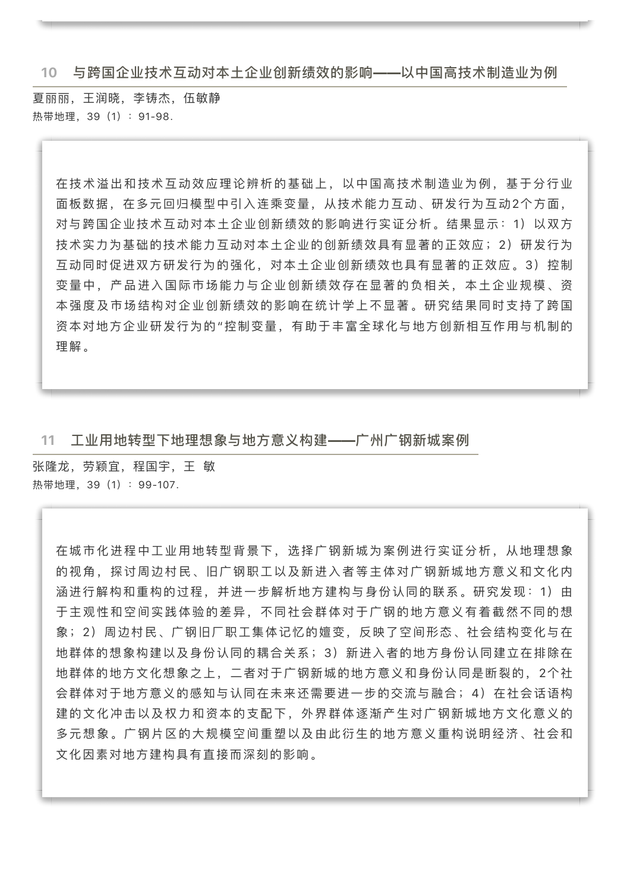10 与跨国企业技术互动对本土企业创新绩效的影响——以中国高技术制造业为例

夏丽丽,王润晓,李铸杰,伍敏静 热带地理, 39 (1) : 91-98.

> 在技术溢出和技术互动效应理论辨析的基础上,以中国高技术制造业为例,基于分行业 面板数据, 在多元回归模型中引入连乘变量, 从技术能力互动、研发行为互动2个方面, 对与跨国企业技术互动对本土企业创新绩效的影响进行实证分析。结果显示: 1) 以双方 技术实力为基础的技术能力互动对本土企业的创新绩效具有显著的正效应; 2) 研发行为 互动同时促进双方研发行为的强化,对本土企业创新绩效也具有显著的正效应。3)控制 变量中,产品进入国际市场能力与企业创新绩效存在显著的负相关,本土企业规模、资 本强度及市场结构对企业创新绩效的影响在统计学上不显著。研究结果同时支持了跨国 资本对地方企业研发行为的"控制变量, 有助于丰富全球化与地方创新相互作用与机制的 理解。

11 工业用地转型下地理想象与地方意义构建——广州广钢新城案例

张隆龙,劳颖宜,程国宇,王 敏 热带地理 39 (1) : 99-107.

> 在城市化进程中工业用地转型背景下,选择广钢新城为案例进行实证分析,从地理想象 的视角,探讨周边村民、旧广钢职工以及新进入者等主体对广钢新城地方意义和文化内 涵进行解构和重构的过程, 并进一步解析地方建构与身份认同的联系。研究发现: 1) 由 于主观性和空间实践体验的差异,不同社会群体对于广钢的地方意义有着截然不同的想 象; 2) 周边村民、广钢旧厂职工集体记忆的嬗变, 反映了空间形态、社会结构变化与在 地群体的想象构建以及身份认同的耦合关系; 3) 新进入者的地方身份认同建立在排除在 地群体的地方文化想象之上, 二者对于广钢新城的地方意义和身份认同是断裂的, 2个社 会群体对于地方意义的感知与认同在未来还需要进一步的交流与融合; 4) 在社会话语构 建的文化冲击以及权力和资本的支配下、外界群体逐渐产生对广钢新城地方文化意义的 多元想象。广钢片区的大规模空间重塑以及由此衍生的地方意义重构说明经济、社会和 文化因素对地方建构具有直接而深刻的影响。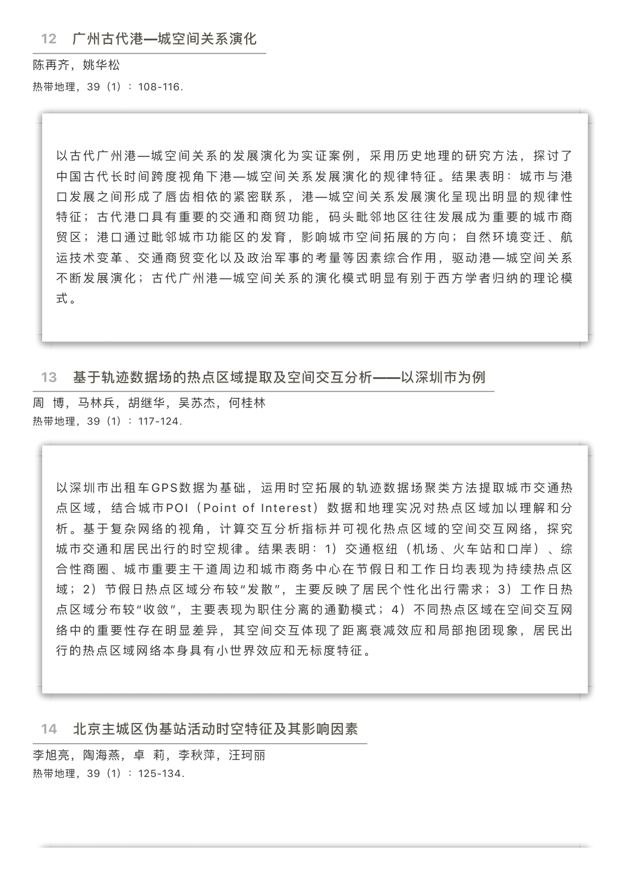陈再齐、姚华松 热带地理, 39 (1) : 108-116.

> 以古代广州港—城空间关系的发展演化为实证案例,采用历史地理的研究方法,探讨了 中国古代长时间跨度视角下港—城空间关系发展演化的规律特征。结果表明:城市与港 口发展之间形成了唇齿相依的紧密联系,港—城空间关系发展演化呈现出明显的规律性 特征;古代港口具有重要的交通和商贸功能,码头毗邻地区往往发展成为重要的城市商 贸区;港口通过毗邻城市功能区的发育,影响城市空间拓展的方向;自然环境变迁、航 运技术变革、交通商贸变化以及政治军事的考量等因素综合作用,驱动港—城空间关系 不断发展演化;古代广州港—城空间关系的演化模式明显有别于西方学者归纳的理论模 式。

## 13 基于轨迹数据场的热点区域提取及空间交互分析——以深圳市为例

周 博, 马林兵, 胡继华, 吴苏杰, 何桂林 热带地理, 39 (1) : 117-124.

以深圳市出租车GPS数据为基础,运用时空拓展的轨迹数据场聚类方法提取城市交通热 点区域, 结合城市POI (Point of Interest) 数据和地理实况对热点区域加以理解和分 析。 基于复杂网络的视角, 计算交互分析指标并可视化热点区域的空间交互网络,探究 城市交通和居民出行的时空规律。结果表明:1)交通枢纽(机场、火车站和口岸)、综 合性商圈、城市重要主干道周边和城市商务中心在节假日和工作日均表现为持续热点区 域; 2) 节假日热点区域分布较"发散", 主要反映了居民个性化出行需求; 3) 工作日热 点区域分布较"收敛",主要表现为职住分离的通勤模式;4)不同热点区域在空间交互网 络中的重要性存在明显差异, 其空间交互体现了距离衰减效应和局部抱团现象, 居民出 行的热点区域网络本身具有小世界效应和无标度特征。

## 14 北京主城区伪基站活动时空特征及其影响因素

李旭亮, 陶海燕, 卓 莉, 李秋萍, 汪珂丽 热带地理, 39 (1) : 125-134.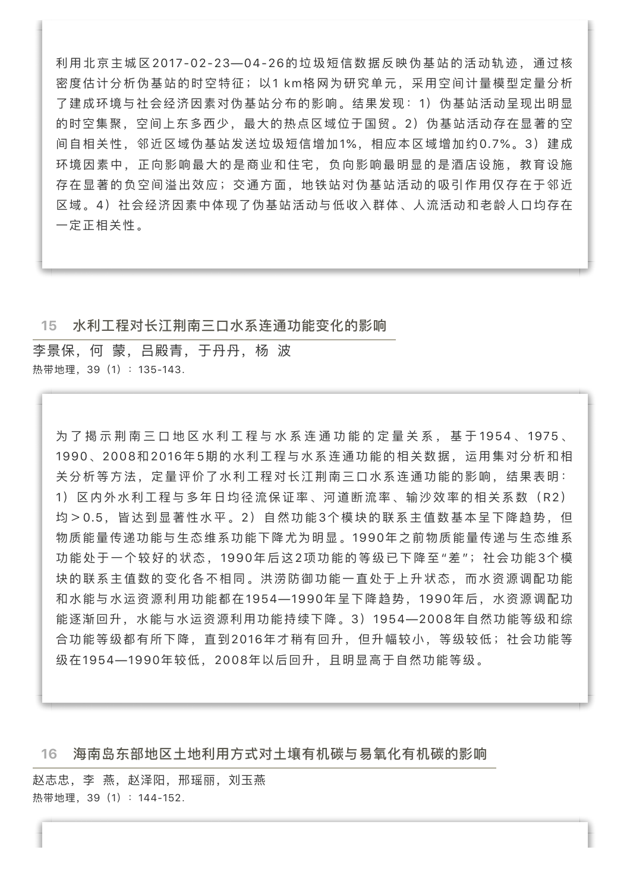利用北京主城区2017-02-23—04-26的垃圾短信数据反映伪基站的活动轨迹, 通过核 密度估计分析伪基站的时空特征;以1 km格网为研究单元, 采用空间计量模型定量分析 了建成环境与社会经济因素对伪基站分布的影响。结果发现: 1) 伪基站活动呈现出明显 的时空集聚,空间上东多西少,最大的热点区域位于国贸。2)伪基站活动存在显著的空 间自相关性, 邻近区域伪基站发送垃圾短信增加1%, 相应本区域增加约0.7%。3)建成 环境因素中,正向影响最大的是商业和住宅,负向影响最明显的是酒店设施,教育设施 存在显著的负空间溢出效应;交通方面,地铁站对伪基站活动的吸引作用仅存在于邻近 区域。4)社会经济因素中体现了伪基站活动与低收入群体、人流活动和老龄人口均存在 一定正相关性。

#### 15 水利工程对长江荆南三口水系连通功能变化的影响

李景保, 何 蒙, 吕殿青, 于丹丹, 杨 波 热带地理, 39 (1) : 135-143.

为了揭示荆南三口地区水利工程与水系连通功能的定量关系, 基于1954、1975、 1990、2008和2016年5期的水利工程与水系连通功能的相关数据,运用集对分析和相 关分析等方法,定量评价了水利工程对长江荆南三口水系连通功能的影响,结果表明: 1) 区内外水利工程与多年日均径流保证率、河道断流率、输沙效率的相关系数(R2) 均 > 0.5, 皆达到显著性水平。2) 自然功能3个模块的联系主值数基本呈下降趋势, 但 物质能量传递功能与生态维系功能下降尤为明显。1990年之前物质能量传递与生态维系 功能处于一个较好的状态, 1990年后这2项功能的等级已下降至"差"; 社会功能3个模 块的联系主值数的变化各不相同。洪涝防御功能一直处于上升状态,而水资源调配功能 和水能与水运资源利用功能都在1954—1990年呈下降趋势, 1990年后, 水资源调配功 能逐渐回升,水能与水运资源利用功能持续下降。3) 1954—2008年自然功能等级和综 合功能等级都有所下降, 直到2016年才稍有回升, 但升幅较小, 等级较低; 社会功能等 级在1954—1990年较低,2008年以后回升,且明显高于自然功能等级。

16 海南岛东部地区土地利用方式对土壤有机碳与易氧化有机碳的影响

赵志忠, 李 燕, 赵泽阳, 邢瑶丽, 刘玉燕 热带地理, 39 (1) : 144-152.